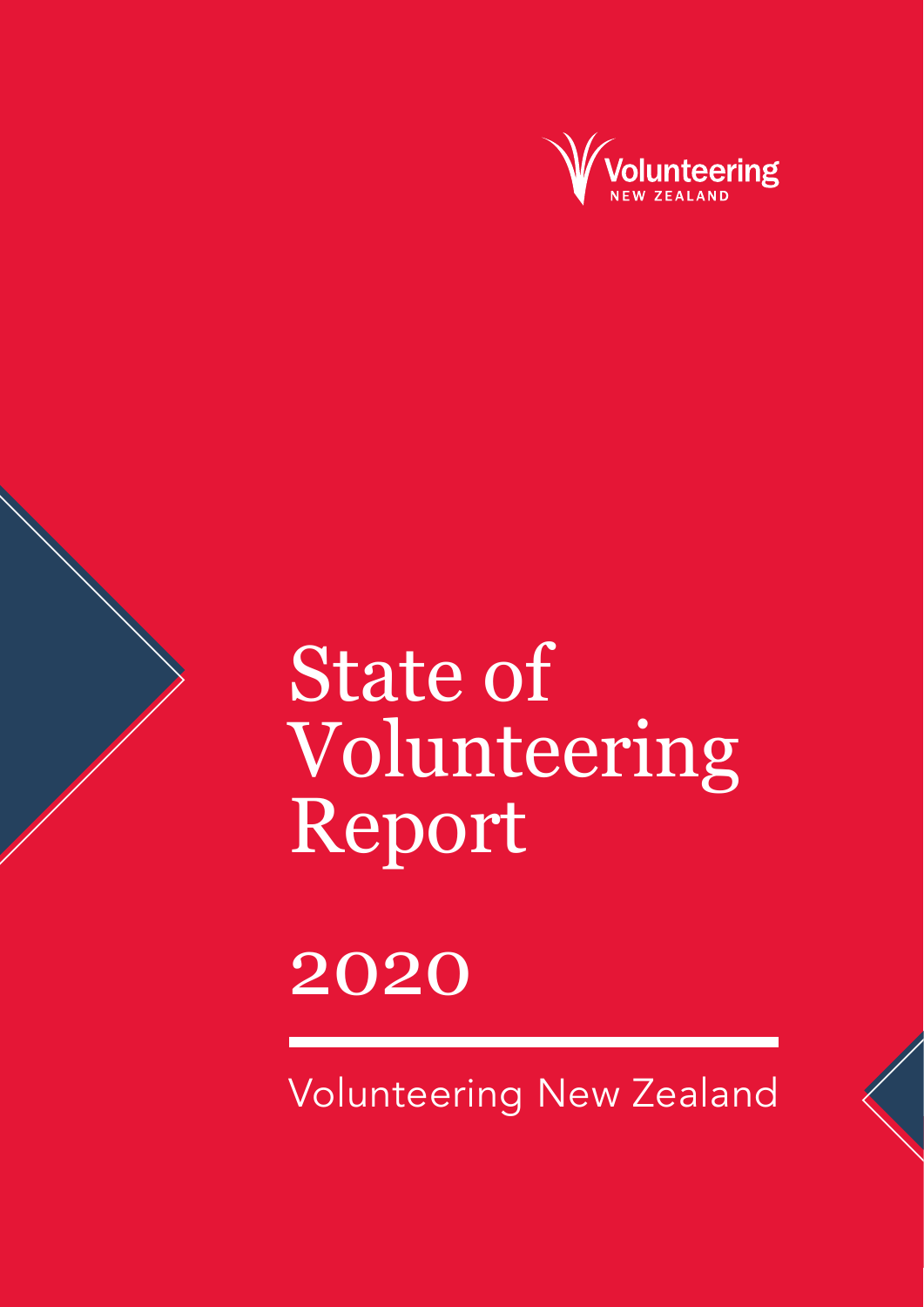

## State of Volunteering Report

### 2020

Volunteering New Zealand

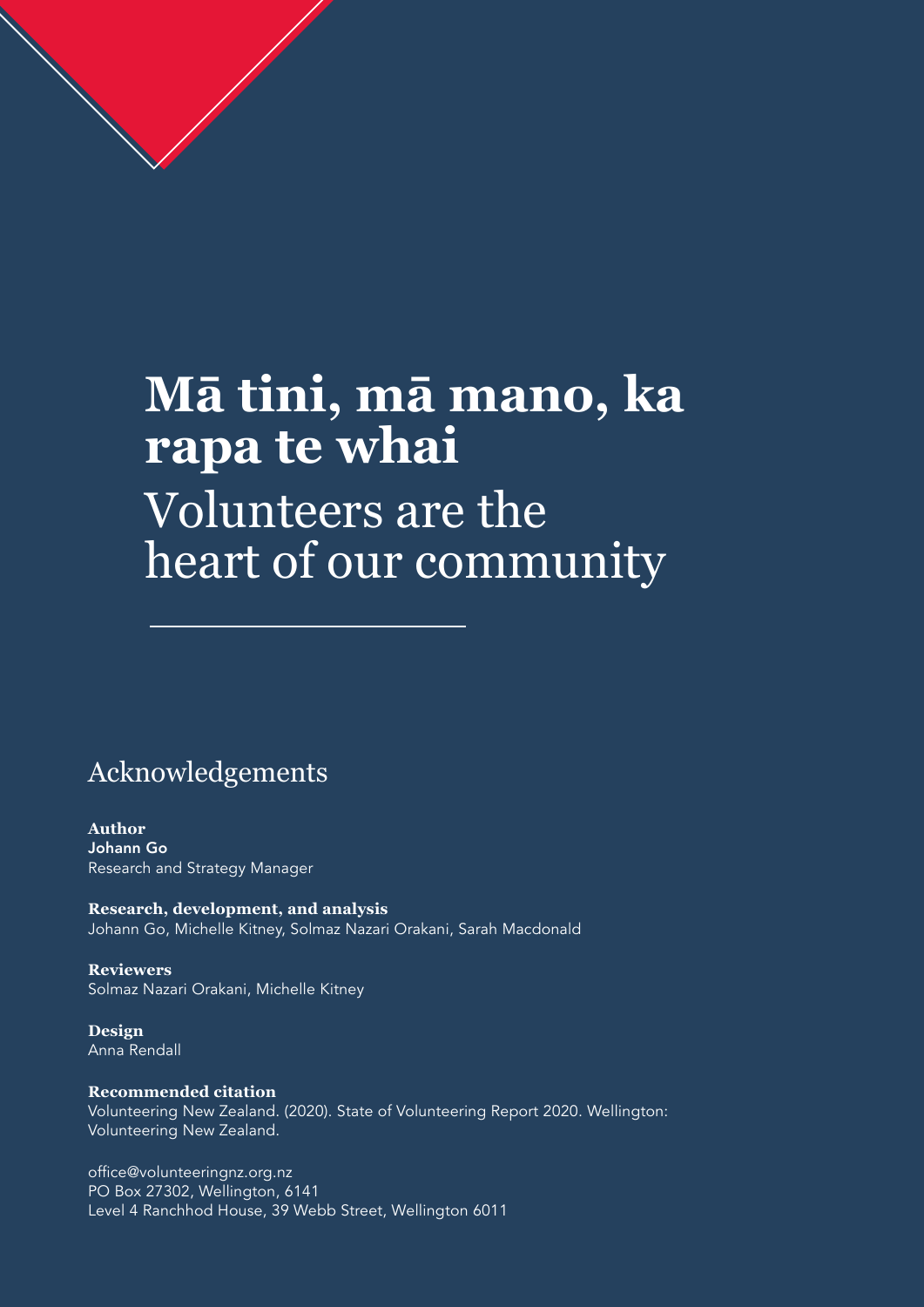### **Mā tini, mā mano, ka rapa te whai**  Volunteers are the heart of our community

#### Acknowledgements

**2** state of volunteering report 2020

**Author** Johann Go Research and Strategy Manager

**Research, development, and analysis** Johann Go, Michelle Kitney, Solmaz Nazari Orakani, Sarah Macdonald

**Reviewers** Solmaz Nazari Orakani, Michelle Kitney

**Design** Anna Rendall

**Recommended citation** Volunteering New Zealand. (2020). State of Volunteering Report 2020. Wellington: Volunteering New Zealand.

office@volunteeringnz.org.nz PO Box 27302, Wellington, 6141 Level 4 Ranchhod House, 39 Webb Street, Wellington 6011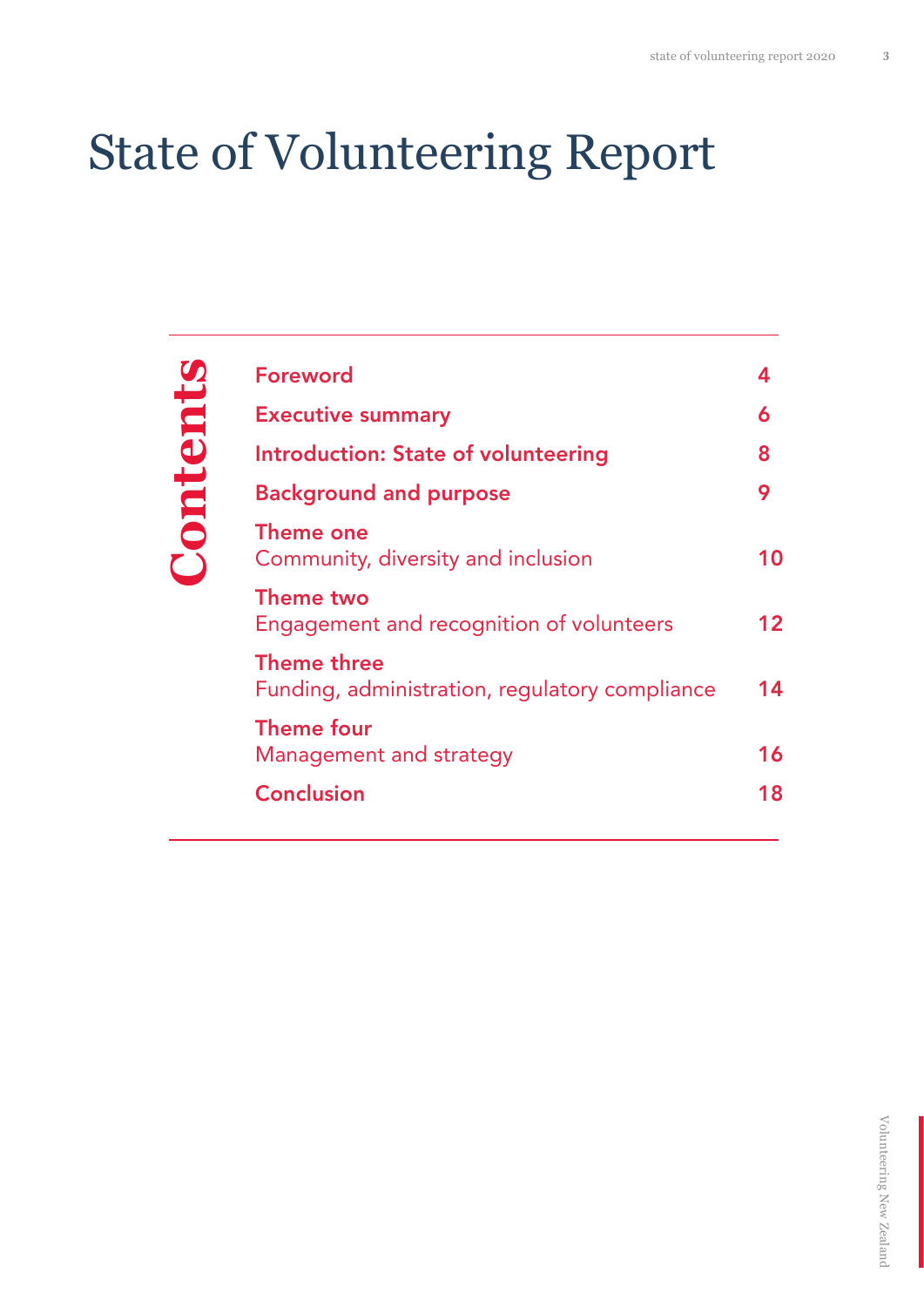### State of Volunteering Report

# Contents **Contents**

| <b>Foreword</b>                                                      | 4  |
|----------------------------------------------------------------------|----|
| <b>Executive summary</b>                                             | 6  |
| Introduction: State of volunteering                                  | 8  |
| <b>Background and purpose</b>                                        | 9  |
| Theme one<br>Community, diversity and inclusion                      | 10 |
| Theme two<br>Engagement and recognition of volunteers                | 12 |
| <b>Theme three</b><br>Funding, administration, regulatory compliance | 14 |
| <b>Theme four</b><br>Management and strategy                         | 16 |
| <b>Conclusion</b>                                                    | 18 |
|                                                                      |    |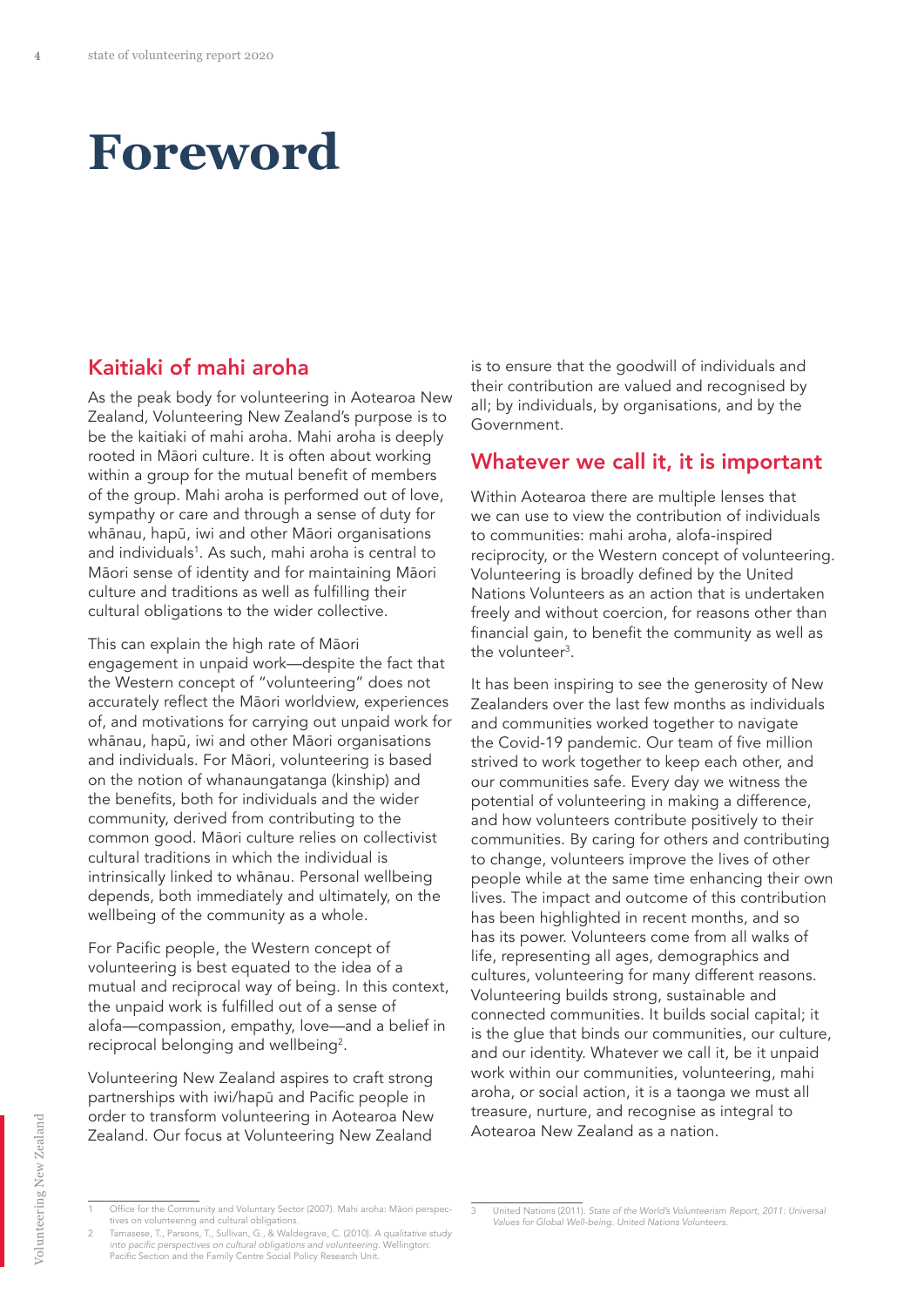### **Foreword**

#### Kaitiaki of mahi aroha

As the peak body for volunteering in Aotearoa New Zealand, Volunteering New Zealand's purpose is to be the kaitiaki of mahi aroha. Mahi aroha is deeply rooted in Māori culture. It is often about working within a group for the mutual benefit of members of the group. Mahi aroha is performed out of love, sympathy or care and through a sense of duty for whānau, hapū, iwi and other Māori organisations and individuals<sup>1</sup>. As such, mahi aroha is central to Māori sense of identity and for maintaining Māori culture and traditions as well as fulfilling their cultural obligations to the wider collective.

This can explain the high rate of Māori engagement in unpaid work—despite the fact that the Western concept of "volunteering" does not accurately reflect the Māori worldview, experiences of, and motivations for carrying out unpaid work for whānau, hapū, iwi and other Māori organisations and individuals. For Māori, volunteering is based on the notion of whanaungatanga (kinship) and the benefits, both for individuals and the wider community, derived from contributing to the common good. Māori culture relies on collectivist cultural traditions in which the individual is intrinsically linked to whānau. Personal wellbeing depends, both immediately and ultimately, on the wellbeing of the community as a whole.

For Pacific people, the Western concept of volunteering is best equated to the idea of a mutual and reciprocal way of being. In this context, the unpaid work is fulfilled out of a sense of alofa—compassion, empathy, love—and a belief in reciprocal belonging and wellbeing<sup>2</sup>.

Volunteering New Zealand aspires to craft strong partnerships with iwi/hapū and Pacific people in order to transform volunteering in Aotearoa New Zealand. Our focus at Volunteering New Zealand

is to ensure that the goodwill of individuals and their contribution are valued and recognised by all; by individuals, by organisations, and by the Government.

#### Whatever we call it, it is important

Within Aotearoa there are multiple lenses that we can use to view the contribution of individuals to communities: mahi aroha, alofa-inspired reciprocity, or the Western concept of volunteering. Volunteering is broadly defined by the United Nations Volunteers as an action that is undertaken freely and without coercion, for reasons other than financial gain, to benefit the community as well as the volunteer<sup>3</sup>.

It has been inspiring to see the generosity of New Zealanders over the last few months as individuals and communities worked together to navigate the Covid-19 pandemic. Our team of five million strived to work together to keep each other, and our communities safe. Every day we witness the potential of volunteering in making a difference, and how volunteers contribute positively to their communities. By caring for others and contributing to change, volunteers improve the lives of other people while at the same time enhancing their own lives. The impact and outcome of this contribution has been highlighted in recent months, and so has its power. Volunteers come from all walks of life, representing all ages, demographics and cultures, volunteering for many different reasons. Volunteering builds strong, sustainable and connected communities. It builds social capital; it is the glue that binds our communities, our culture, and our identity. Whatever we call it, be it unpaid work within our communities, volunteering, mahi aroha, or social action, it is a taonga we must all treasure, nurture, and recognise as integral to Aotearoa New Zealand as a nation.

Volunteering New Zealand Volunteering New Zealand

<sup>1</sup> Office for the Community and Voluntary Sector (2007). Mahi aroha: Māori perspec-tives on volunteering and cultural obligations.

<sup>2</sup> Tamasese, T., Parsons, T., Sullivan, G., & Waldegrave, C. (2010). *A qualitative study*  into pacific perspectives on cultural obligations and volunteering. Wellington: Pacific Section and the Family Centre Social Policy Research Unit.

United Nations (2011). State of the World's Volunteerism Report, 2011: Universal Values for Global Well-being. United Nations Volunteers.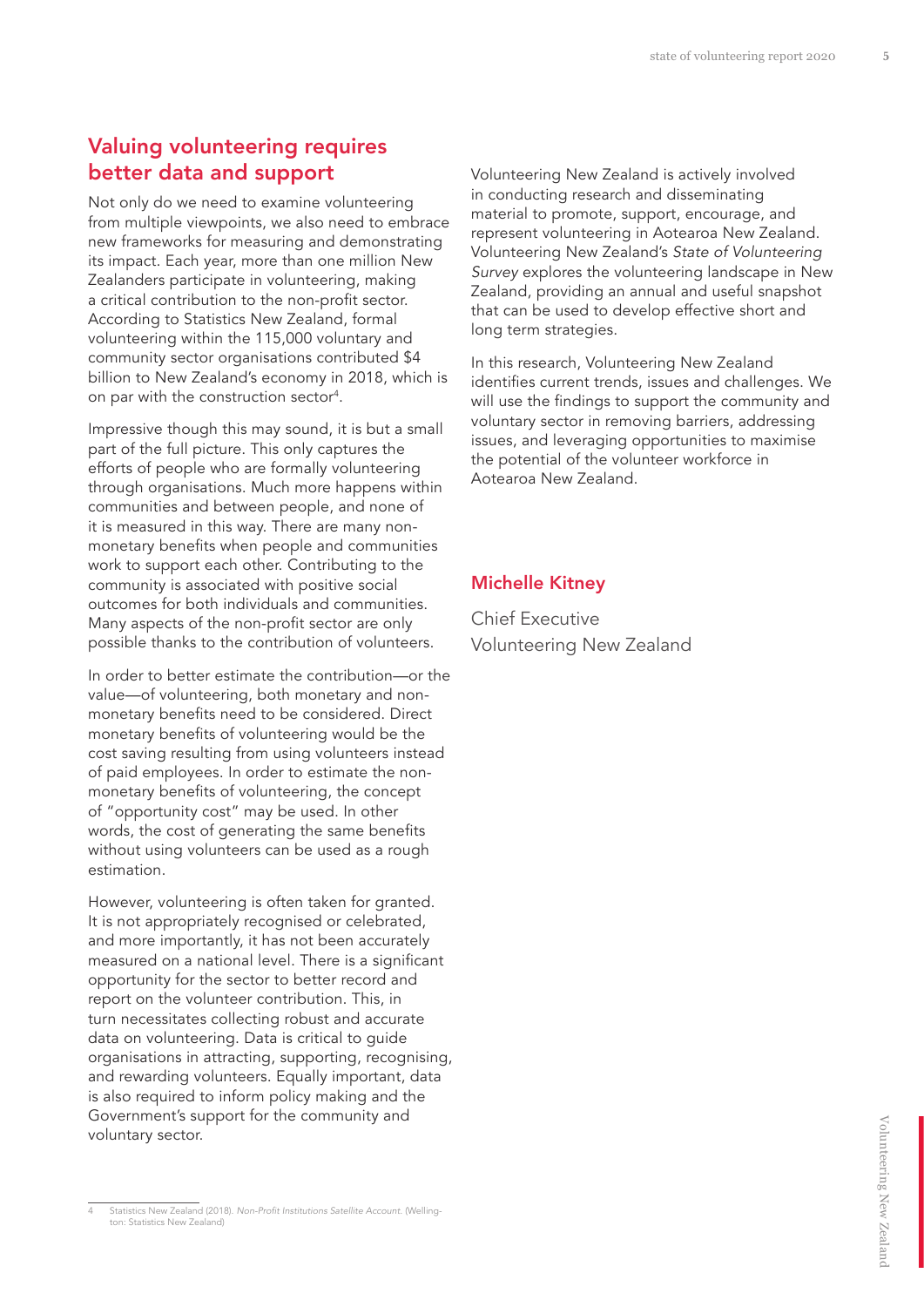#### Valuing volunteering requires better data and support

Not only do we need to examine volunteering from multiple viewpoints, we also need to embrace new frameworks for measuring and demonstrating its impact. Each year, more than one million New Zealanders participate in volunteering, making a critical contribution to the non-profit sector. According to Statistics New Zealand, formal volunteering within the 115,000 voluntary and community sector organisations contributed \$4 billion to New Zealand's economy in 2018, which is on par with the construction sector4 .

Impressive though this may sound, it is but a small part of the full picture. This only captures the efforts of people who are formally volunteering through organisations. Much more happens within communities and between people, and none of it is measured in this way. There are many nonmonetary benefits when people and communities work to support each other. Contributing to the community is associated with positive social outcomes for both individuals and communities. Many aspects of the non-profit sector are only possible thanks to the contribution of volunteers.

In order to better estimate the contribution—or the value—of volunteering, both monetary and nonmonetary benefits need to be considered. Direct monetary benefits of volunteering would be the cost saving resulting from using volunteers instead of paid employees. In order to estimate the nonmonetary benefits of volunteering, the concept of "opportunity cost" may be used. In other words, the cost of generating the same benefits without using volunteers can be used as a rough estimation.

However, volunteering is often taken for granted. It is not appropriately recognised or celebrated, and more importantly, it has not been accurately measured on a national level. There is a significant opportunity for the sector to better record and report on the volunteer contribution. This, in turn necessitates collecting robust and accurate data on volunteering. Data is critical to guide organisations in attracting, supporting, recognising, and rewarding volunteers. Equally important, data is also required to inform policy making and the Government's support for the community and voluntary sector.

In this research, Volunteering New Zealand identifies current trends, issues and challenges. We will use the findings to support the community and voluntary sector in removing barriers, addressing issues, and leveraging opportunities to maximise the potential of the volunteer workforce in Aotearoa New Zealand.

#### Michelle Kitney

Chief Executive Volunteering New Zealand

Volunteering New Zealand is actively involved in conducting research and disseminating material to promote, support, encourage, and represent volunteering in Aotearoa New Zealand. Volunteering New Zealand's State of Volunteering Survey explores the volunteering landscape in New Zealand, providing an annual and useful snapshot that can be used to develop effective short and long term strategies.

Statistics New Zealand (2018). Non-Profit Institutions Satellite Account. (Wellington: Statistics New Zealand)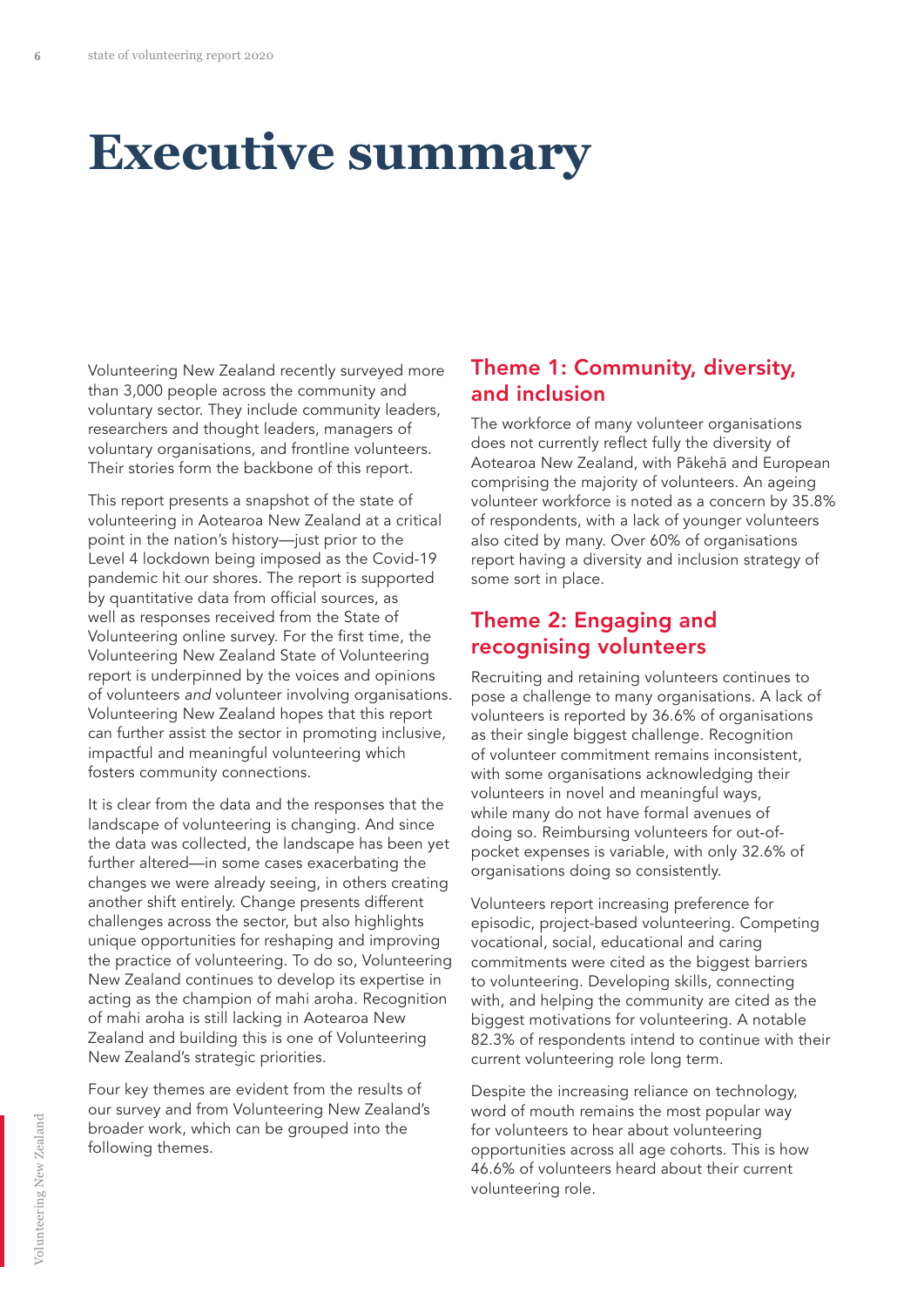### **Executive summary**

Volunteering New Zealand recently surveyed more than 3,000 people across the community and voluntary sector. They include community leaders, researchers and thought leaders, managers of voluntary organisations, and frontline volunteers. Their stories form the backbone of this report.

This report presents a snapshot of the state of volunteering in Aotearoa New Zealand at a critical point in the nation's history—just prior to the Level 4 lockdown being imposed as the Covid-19 pandemic hit our shores. The report is supported by quantitative data from official sources, as well as responses received from the State of Volunteering online survey. For the first time, the Volunteering New Zealand State of Volunteering report is underpinned by the voices and opinions of volunteers *and* volunteer involving organisations. Volunteering New Zealand hopes that this report can further assist the sector in promoting inclusive, impactful and meaningful volunteering which fosters community connections.

It is clear from the data and the responses that the landscape of volunteering is changing. And since the data was collected, the landscape has been yet further altered—in some cases exacerbating the changes we were already seeing, in others creating another shift entirely. Change presents different challenges across the sector, but also highlights unique opportunities for reshaping and improving the practice of volunteering. To do so, Volunteering New Zealand continues to develop its expertise in acting as the champion of mahi aroha. Recognition of mahi aroha is still lacking in Aotearoa New Zealand and building this is one of Volunteering New Zealand's strategic priorities.

Four key themes are evident from the results of our survey and from Volunteering New Zealand's broader work, which can be grouped into the following themes.

#### Theme 1: Community, diversity, and inclusion

The workforce of many volunteer organisations does not currently reflect fully the diversity of Aotearoa New Zealand, with Pākehā and European comprising the majority of volunteers. An ageing volunteer workforce is noted as a concern by 35.8% of respondents, with a lack of younger volunteers also cited by many. Over 60% of organisations report having a diversity and inclusion strategy of some sort in place.

#### Theme 2: Engaging and recognising volunteers

Recruiting and retaining volunteers continues to pose a challenge to many organisations. A lack of volunteers is reported by 36.6% of organisations as their single biggest challenge. Recognition of volunteer commitment remains inconsistent, with some organisations acknowledging their volunteers in novel and meaningful ways, while many do not have formal avenues of doing so. Reimbursing volunteers for out-ofpocket expenses is variable, with only 32.6% of organisations doing so consistently.

Volunteers report increasing preference for episodic, project-based volunteering. Competing vocational, social, educational and caring commitments were cited as the biggest barriers to volunteering. Developing skills, connecting with, and helping the community are cited as the biggest motivations for volunteering. A notable 82.3% of respondents intend to continue with their current volunteering role long term.

Despite the increasing reliance on technology, word of mouth remains the most popular way for volunteers to hear about volunteering opportunities across all age cohorts. This is how 46.6% of volunteers heard about their current volunteering role.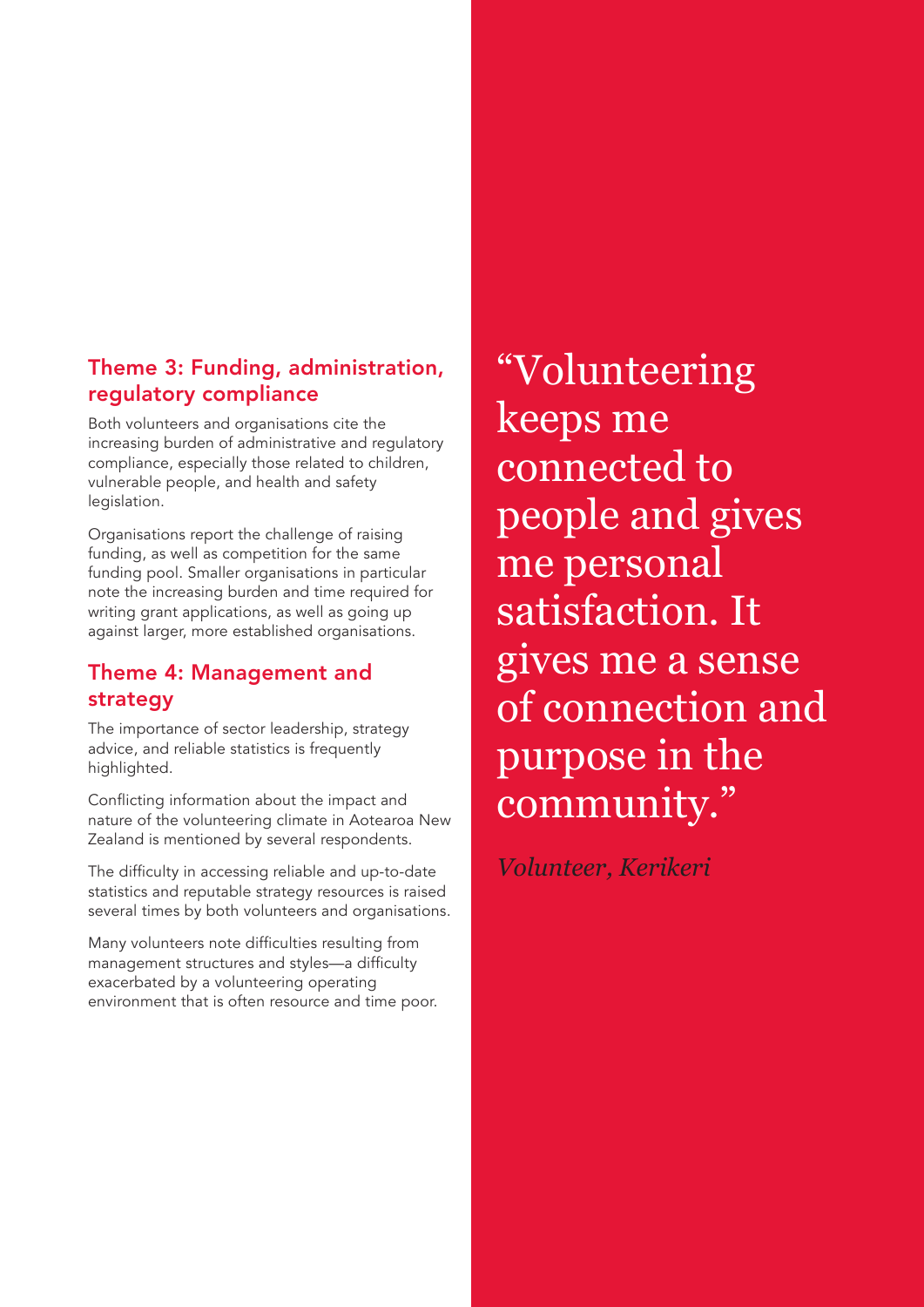#### Theme 3: Funding, administration, regulatory compliance

Both volunteers and organisations cite the increasing burden of administrative and regulatory compliance, especially those related to children, vulnerable people, and health and safety legislation.

Organisations report the challenge of raising funding, as well as competition for the same funding pool. Smaller organisations in particular note the increasing burden and time required for writing grant applications, as well as going up against larger, more established organisations.

#### Theme 4: Management and strategy

The importance of sector leadership, strategy advice, and reliable statistics is frequently highlighted.

Conflicting information about the impact and nature of the volunteering climate in Aotearoa New Zealand is mentioned by several respondents.

The difficulty in accessing reliable and up-to-date statistics and reputable strategy resources is raised several times by both volunteers and organisations.

Many volunteers note difficulties resulting from management structures and styles—a difficulty exacerbated by a volunteering operating environment that is often resource and time poor.

"Volunteering keeps me connected to people and gives me personal satisfaction. It gives me a sense of connection and purpose in the community."

*Volunteer, Kerikeri*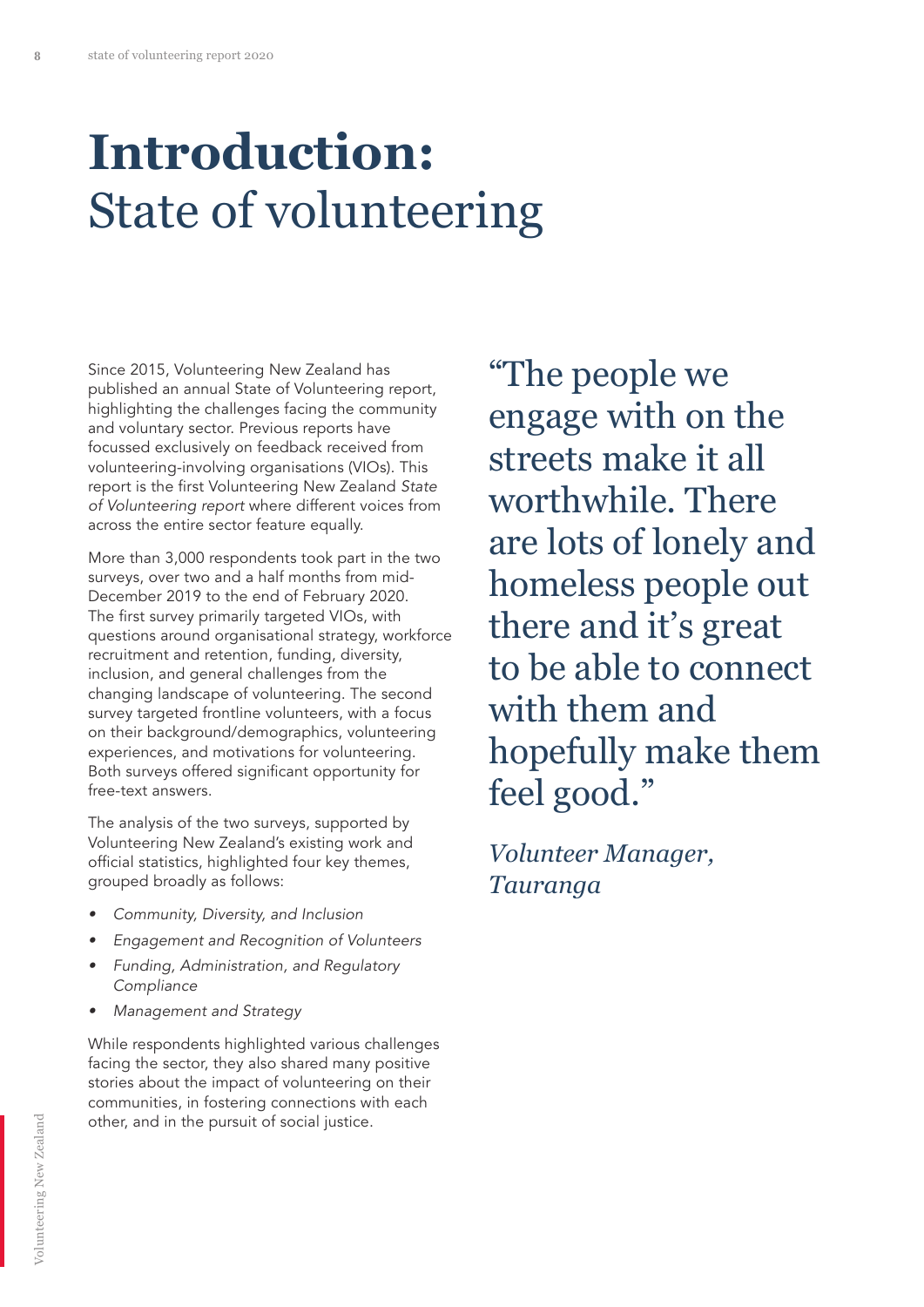### **Introduction:**  State of volunteering

Since 2015, Volunteering New Zealand has published an annual State of Volunteering report, highlighting the challenges facing the community and voluntary sector. Previous reports have focussed exclusively on feedback received from volunteering-involving organisations (VIOs). This report is the first Volunteering New Zealand *State*  of Volunteering report where different voices from across the entire sector feature equally.

More than 3,000 respondents took part in the two surveys, over two and a half months from mid-December 2019 to the end of February 2020. The first survey primarily targeted VIOs, with questions around organisational strategy, workforce recruitment and retention, funding, diversity, inclusion, and general challenges from the changing landscape of volunteering. The second survey targeted frontline volunteers, with a focus on their background/demographics, volunteering experiences, and motivations for volunteering. Both surveys offered significant opportunity for free-text answers.

The analysis of the two surveys, supported by Volunteering New Zealand's existing work and official statistics, highlighted four key themes, grouped broadly as follows:

- Community, Diversity, and Inclusion
- Engagement and Recognition of Volunteers
- Funding, Administration, and Regulatory Compliance
- Management and Strategy

While respondents highlighted various challenges facing the sector, they also shared many positive stories about the impact of volunteering on their communities, in fostering connections with each other, and in the pursuit of social justice.

"The people we engage with on the streets make it all worthwhile. There are lots of lonely and homeless people out there and it's great to be able to connect with them and hopefully make them feel good."

*Volunteer Manager, Tauranga*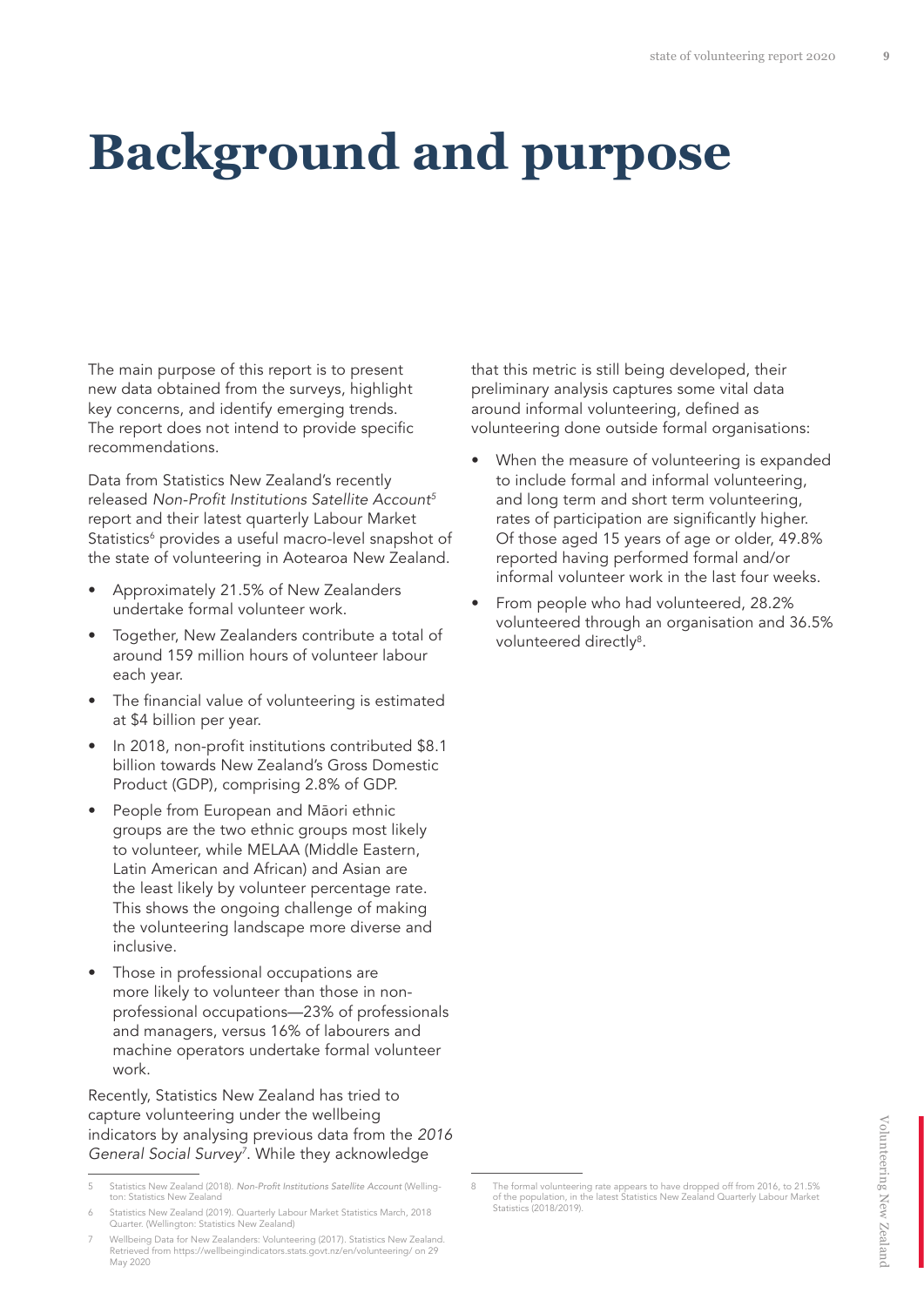### **Background and purpose**

The main purpose of this report is to present new data obtained from the surveys, highlight key concerns, and identify emerging trends. The report does not intend to provide specific recommendations.

Data from Statistics New Zealand's recently released Non-Profit Institutions Satellite Account*<sup>5</sup>* report and their latest quarterly Labour Market Statistics<sup>6</sup> provides a useful macro-level snapshot of the state of volunteering in Aotearoa New Zealand.

- Approximately 21.5% of New Zealanders undertake formal volunteer work.
- Together, New Zealanders contribute a total of around 159 million hours of volunteer labour each year.
- The financial value of volunteering is estimated at \$4 billion per year.
- In 2018, non-profit institutions contributed \$8.1 billion towards New Zealand's Gross Domestic Product (GDP), comprising 2.8% of GDP.
- People from European and Māori ethnic groups are the two ethnic groups most likely to volunteer, while MELAA (Middle Eastern, Latin American and African) and Asian are the least likely by volunteer percentage rate. This shows the ongoing challenge of making the volunteering landscape more diverse and inclusive.
- Those in professional occupations are more likely to volunteer than those in nonprofessional occupations—23% of professionals and managers, versus 16% of labourers and machine operators undertake formal volunteer work.

Recently, Statistics New Zealand has tried to capture volunteering under the wellbeing indicators by analysing previous data from the 2016 General Social Survey*<sup>7</sup>* . While they acknowledge

that this metric is still being developed, their preliminary analysis captures some vital data around informal volunteering, defined as volunteering done outside formal organisations:

- When the measure of volunteering is expanded to include formal and informal volunteering, and long term and short term volunteering, rates of participation are significantly higher. Of those aged 15 years of age or older, 49.8% reported having performed formal and/or informal volunteer work in the last four weeks.
- From people who had volunteered, 28.2% volunteered through an organisation and 36.5% volunteered directly<sup>8</sup>.

<sup>5</sup> Statistics New Zealand (2018). Non-Profit Institutions Satellite Account (Wellington: Statistics New Zealand

<sup>6</sup> Statistics New Zealand (2019). Quarterly Labour Market Statistics March, 2018 Quarter. (Wellington: Statistics New Zealand)

<sup>7</sup> Wellbeing Data for New Zealanders: Volunteering (2017). Statistics New Zealand. Retrieved from https://wellbeingindicators.stats.govt.nz/en/volunteering/ on 29 May 2020

<sup>8</sup> The formal volunteering rate appears to have dropped off from 2016, to 21.5% of the population, in the latest Statistics New Zealand Quarterly Labour Market Statistics (2018/2019).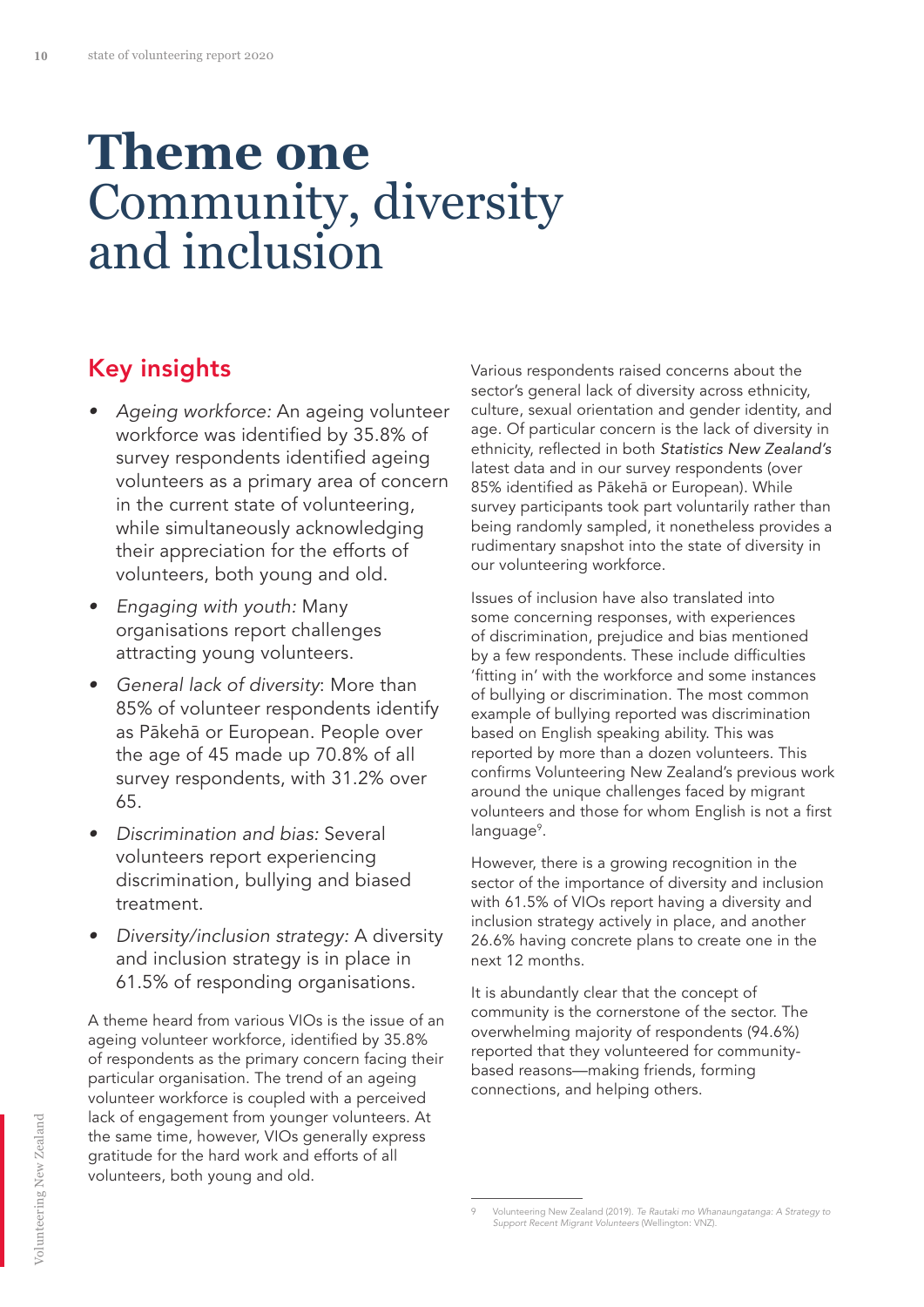### **Theme one** Community, diversity and inclusion

#### Key insights

- Ageing workforce: An ageing volunteer workforce was identified by 35.8% of survey respondents identified ageing volunteers as a primary area of concern in the current state of volunteering, while simultaneously acknowledging their appreciation for the efforts of volunteers, both young and old.
- Engaging with youth: Many organisations report challenges attracting young volunteers.
- General lack of diversity: More than 85% of volunteer respondents identify as Pākehā or European. People over the age of 45 made up 70.8% of all survey respondents, with 31.2% over 65.
- Discrimination and bias: Several volunteers report experiencing discrimination, bullying and biased treatment.
- Diversity/inclusion strategy: A diversity and inclusion strategy is in place in 61.5% of responding organisations.

A theme heard from various VIOs is the issue of an ageing volunteer workforce, identified by 35.8% of respondents as the primary concern facing their particular organisation. The trend of an ageing volunteer workforce is coupled with a perceived lack of engagement from younger volunteers. At the same time, however, VIOs generally express gratitude for the hard work and efforts of all volunteers, both young and old.

Various respondents raised concerns about the sector's general lack of diversity across ethnicity, culture, sexual orientation and gender identity, and age. Of particular concern is the lack of diversity in ethnicity, reflected in both Statistics New Zealand's latest data and in our survey respondents (over 85% identified as Pākehā or European). While survey participants took part voluntarily rather than being randomly sampled, it nonetheless provides a rudimentary snapshot into the state of diversity in our volunteering workforce.

Issues of inclusion have also translated into some concerning responses, with experiences of discrimination, prejudice and bias mentioned by a few respondents. These include difficulties 'fitting in' with the workforce and some instances of bullying or discrimination. The most common example of bullying reported was discrimination based on English speaking ability. This was reported by more than a dozen volunteers. This confirms Volunteering New Zealand's previous work around the unique challenges faced by migrant volunteers and those for whom English is not a first language<sup>9</sup>.

However, there is a growing recognition in the sector of the importance of diversity and inclusion with 61.5% of VIOs report having a diversity and inclusion strategy actively in place, and another 26.6% having concrete plans to create one in the next 12 months.

It is abundantly clear that the concept of community is the cornerstone of the sector. The overwhelming majority of respondents (94.6%) reported that they volunteered for communitybased reasons—making friends, forming connections, and helping others.

<sup>9</sup> Volunteering New Zealand (2019). Te Rautaki mo Whanaungatanga: A Strategy to Support Recent Migrant Volunteers (Wellington: VNZ).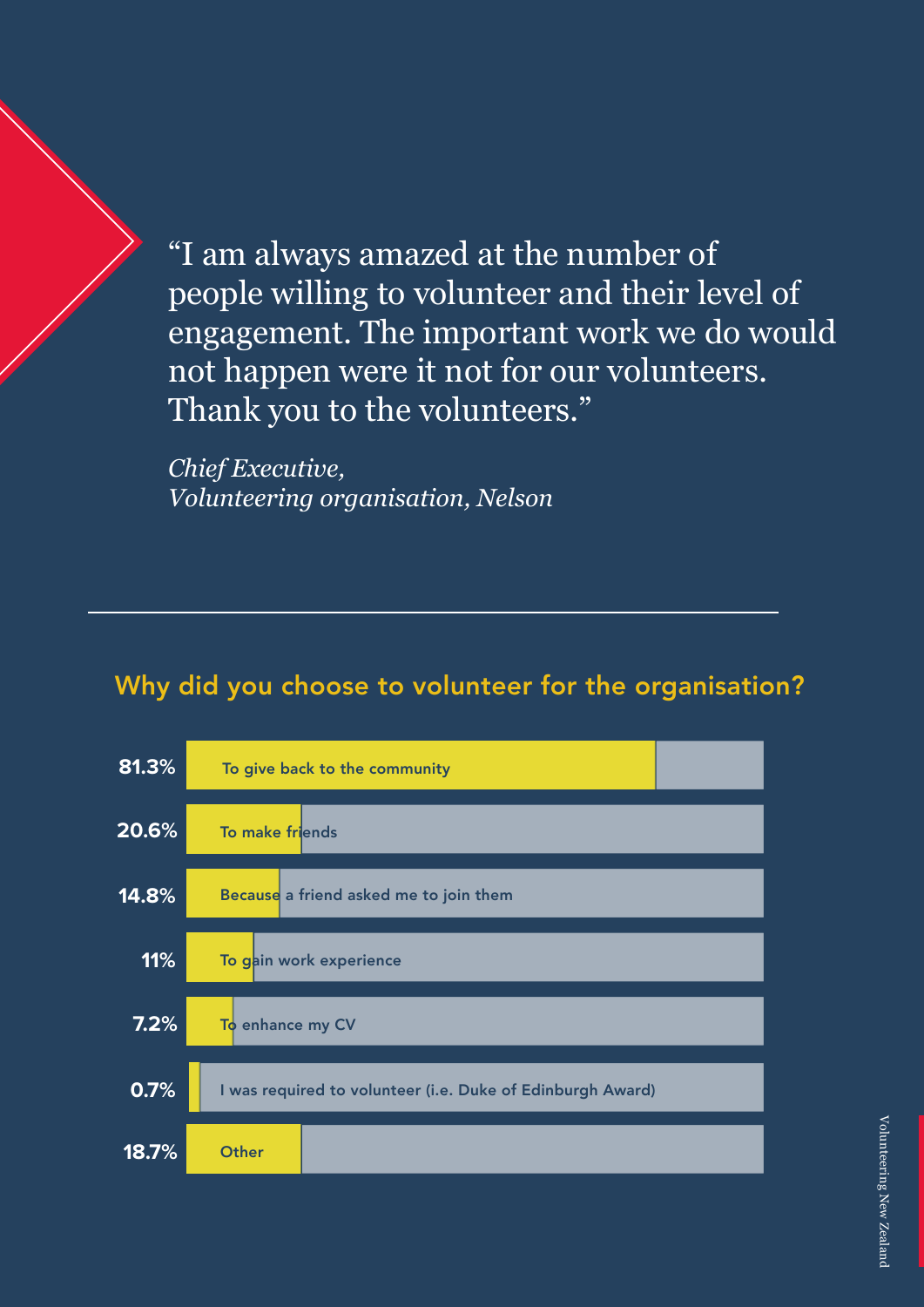"I am always amazed at the number of people willing to volunteer and their level of engagement. The important work we do would not happen were it not for our volunteers. Thank you to the volunteers."

*Chief Executive, Volunteering organisation, Nelson*

#### Why did you choose to volunteer for the organisation?

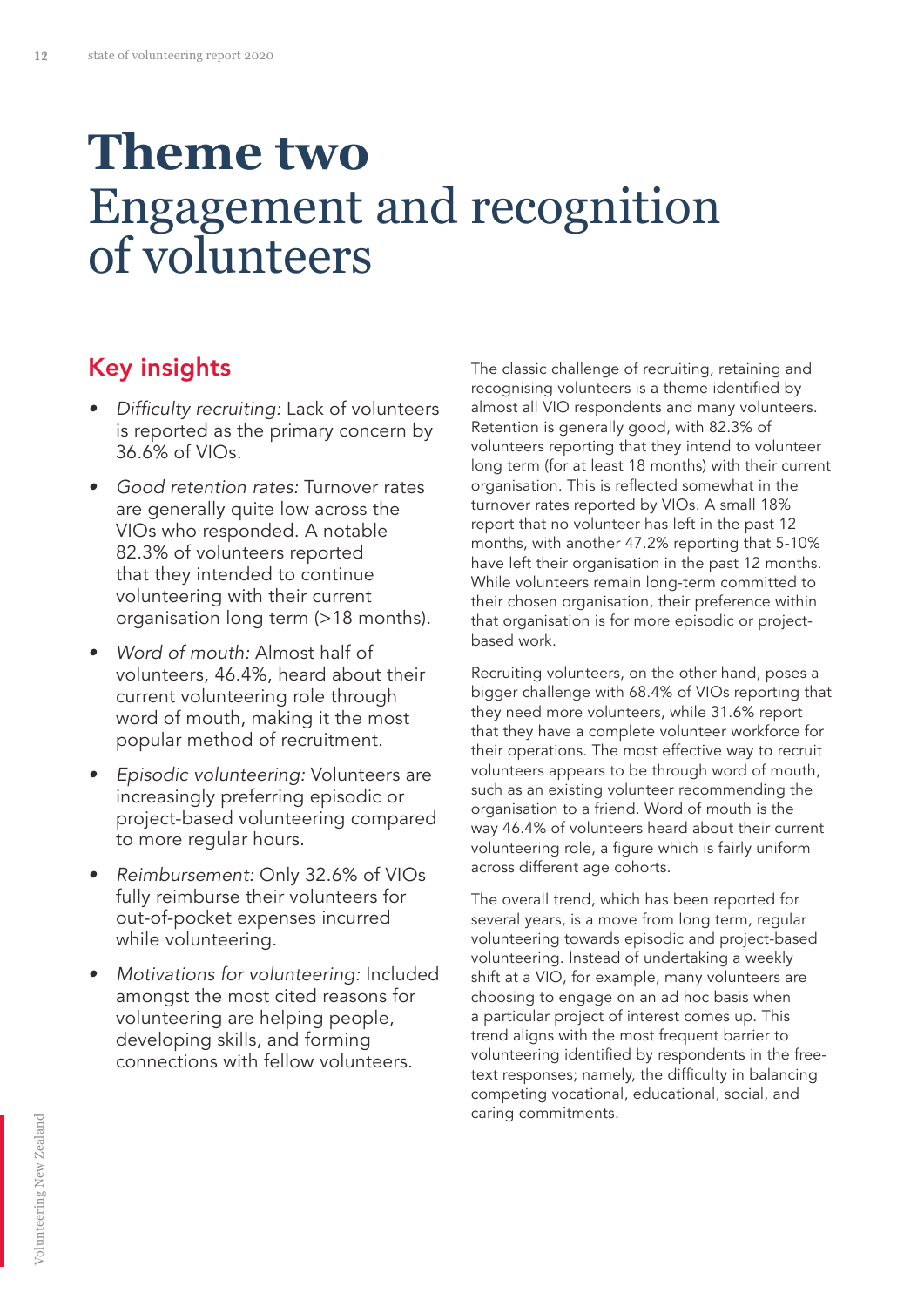### **Theme two** Engagement and recognition of volunteers

#### Key insights

- Difficulty recruiting: Lack of volunteers is reported as the primary concern by 36.6% of VIOs.
- Good retention rates: Turnover rates are generally quite low across the VIOs who responded. A notable 82.3% of volunteers reported that they intended to continue volunteering with their current organisation long term (>18 months).
- Word of mouth: Almost half of volunteers, 46.4%, heard about their current volunteering role through word of mouth, making it the most popular method of recruitment.
- Episodic volunteering: Volunteers are increasingly preferring episodic or project-based volunteering compared to more regular hours.
- Reimbursement: Only 32.6% of VIOs fully reimburse their volunteers for out-of-pocket expenses incurred while volunteering.
- Motivations for volunteering: Included amongst the most cited reasons for volunteering are helping people, developing skills, and forming connections with fellow volunteers.

The classic challenge of recruiting, retaining and recognising volunteers is a theme identified by almost all VIO respondents and many volunteers. Retention is generally good, with 82.3% of volunteers reporting that they intend to volunteer long term (for at least 18 months) with their current organisation. This is reflected somewhat in the turnover rates reported by VIOs. A small 18% report that no volunteer has left in the past 12 months, with another 47.2% reporting that 5-10% have left their organisation in the past 12 months. While volunteers remain long-term committed to their chosen organisation, their preference within that organisation is for more episodic or projectbased work.

Recruiting volunteers, on the other hand, poses a bigger challenge with 68.4% of VIOs reporting that they need more volunteers, while 31.6% report that they have a complete volunteer workforce for their operations. The most effective way to recruit volunteers appears to be through word of mouth, such as an existing volunteer recommending the organisation to a friend. Word of mouth is the way 46.4% of volunteers heard about their current volunteering role, a figure which is fairly uniform across different age cohorts.

The overall trend, which has been reported for several years, is a move from long term, regular volunteering towards episodic and project-based volunteering. Instead of undertaking a weekly shift at a VIO, for example, many volunteers are choosing to engage on an ad hoc basis when a particular project of interest comes up. This trend aligns with the most frequent barrier to volunteering identified by respondents in the freetext responses; namely, the difficulty in balancing competing vocational, educational, social, and caring commitments.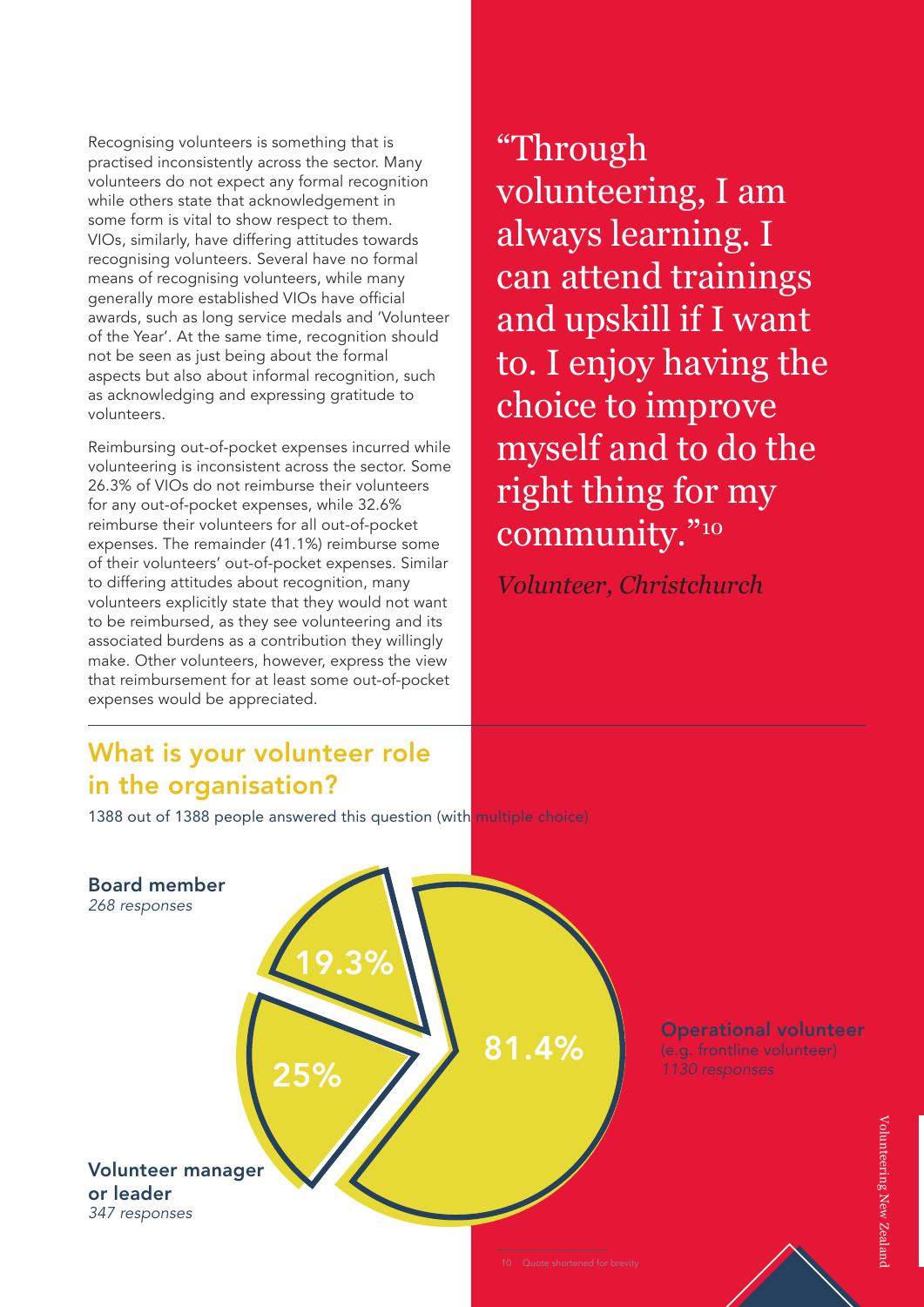Recognising volunteers is something that is practised inconsistently across the sector. Many volunteers do not expect any formal recognition while others state that acknowledgement in some form is vital to show respect to them. VIOs, similarly, have differing attitudes towards recognising volunteers. Several have no formal means of recognising volunteers, while many generally more established VIOs have official awards, such as long service medals and 'Volunteer of the Year'. At the same time, recognition should not be seen as just being about the formal aspects but also about informal recognition, such as acknowledging and expressing gratitude to volunteers.

Reimbursing out-of-pocket expenses incurred while volunteering is inconsistent across the sector. Some 26.3% of VIOs do not reimburse their volunteers for any out-of-pocket expenses, while 32.6% reimburse their volunteers for all out-of-pocket expenses. The remainder (41.1%) reimburse some of their volunteers' out-of-pocket expenses. Similar to differing attitudes about recognition, many volunteers explicitly state that they would not want to be reimbursed, as they see volunteering and its associated burdens as a contribution they willingly make. Other volunteers, however, express the view that reimbursement for at least some out-of-pocket expenses would be appreciated.

#### What is your volunteer role in the organisation?

1388 out of 1388 people answered this question (with multiple choice)



"Through volunteering, I am always learning. I can attend trainings and upskill if I want to. I enjoy having the choice to improve myself and to do the right thing for my community."10

*Volunteer, Christchurch*

Operational volunteer (e.g. frontline volunteer) 1130 responses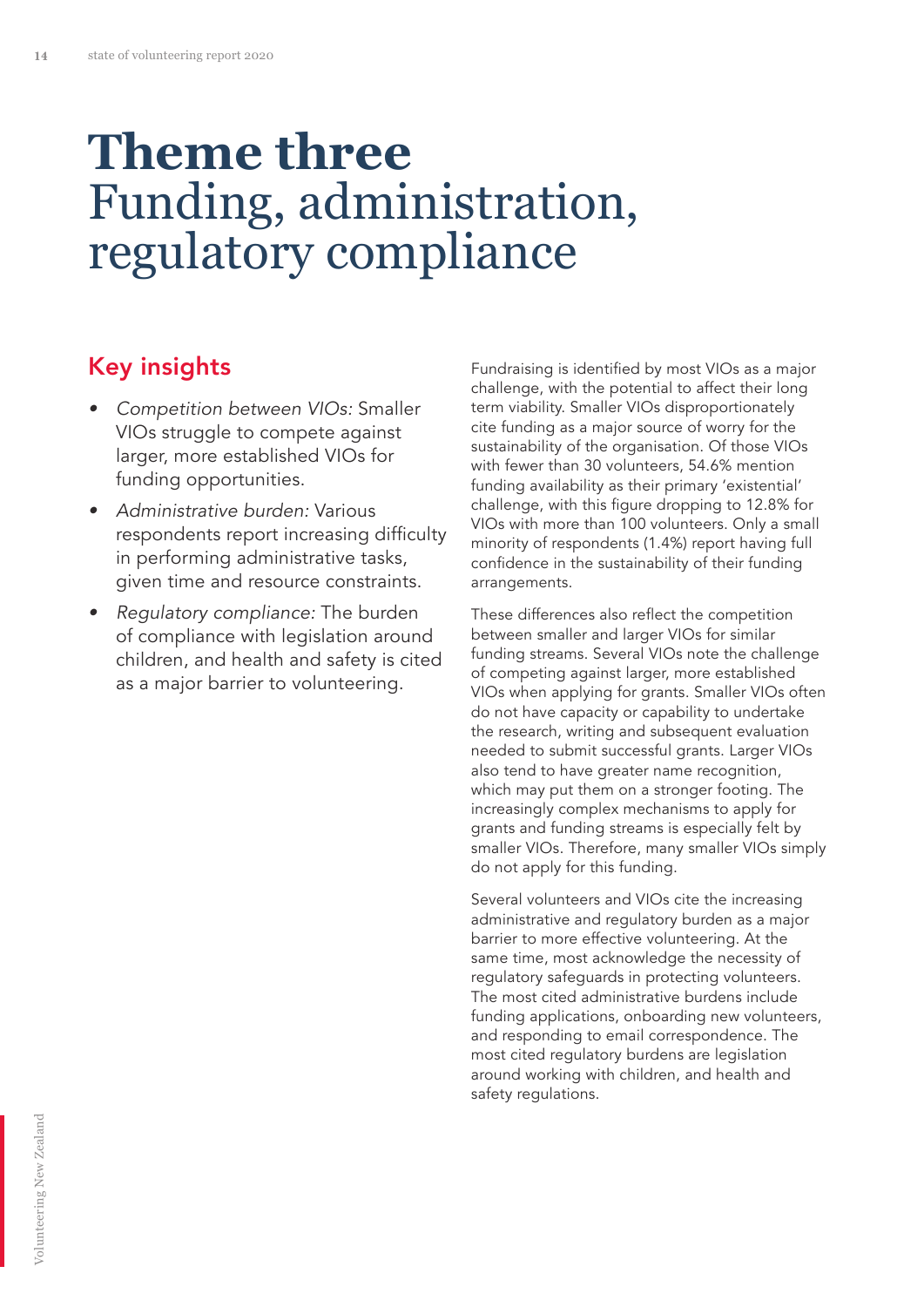### **Theme three** Funding, administration, regulatory compliance

#### Key insights

- Competition between VIOs: Smaller VIOs struggle to compete against larger, more established VIOs for funding opportunities.
- Administrative burden: Various respondents report increasing difficulty in performing administrative tasks, given time and resource constraints.
- Requlatory compliance: The burden of compliance with legislation around children, and health and safety is cited as a major barrier to volunteering.

Fundraising is identified by most VIOs as a major challenge, with the potential to affect their long term viability. Smaller VIOs disproportionately cite funding as a major source of worry for the sustainability of the organisation. Of those VIOs with fewer than 30 volunteers, 54.6% mention funding availability as their primary 'existential' challenge, with this figure dropping to 12.8% for VIOs with more than 100 volunteers. Only a small minority of respondents (1.4%) report having full confidence in the sustainability of their funding arrangements.

These differences also reflect the competition between smaller and larger VIOs for similar funding streams. Several VIOs note the challenge of competing against larger, more established VIOs when applying for grants. Smaller VIOs often do not have capacity or capability to undertake the research, writing and subsequent evaluation needed to submit successful grants. Larger VIOs also tend to have greater name recognition, which may put them on a stronger footing. The increasingly complex mechanisms to apply for grants and funding streams is especially felt by smaller VIOs. Therefore, many smaller VIOs simply do not apply for this funding.

Several volunteers and VIOs cite the increasing administrative and regulatory burden as a major barrier to more effective volunteering. At the same time, most acknowledge the necessity of regulatory safeguards in protecting volunteers. The most cited administrative burdens include funding applications, onboarding new volunteers, and responding to email correspondence. The most cited regulatory burdens are legislation around working with children, and health and safety regulations.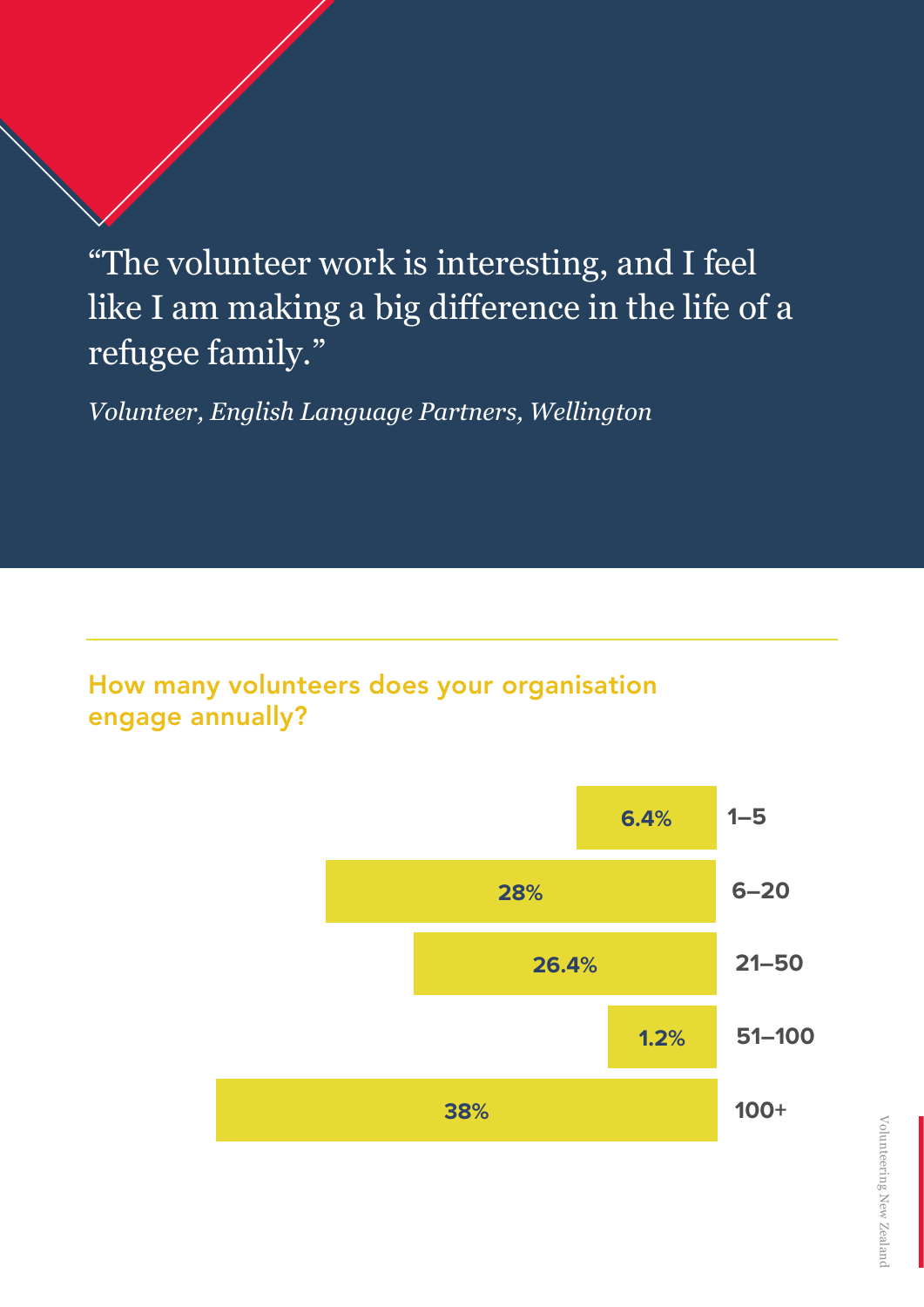"The volunteer work is interesting, and I feel like I am making a big difference in the life of a refugee family."

*Volunteer, English Language Partners, Wellington*

#### How many volunteers does your organisation engage annually?

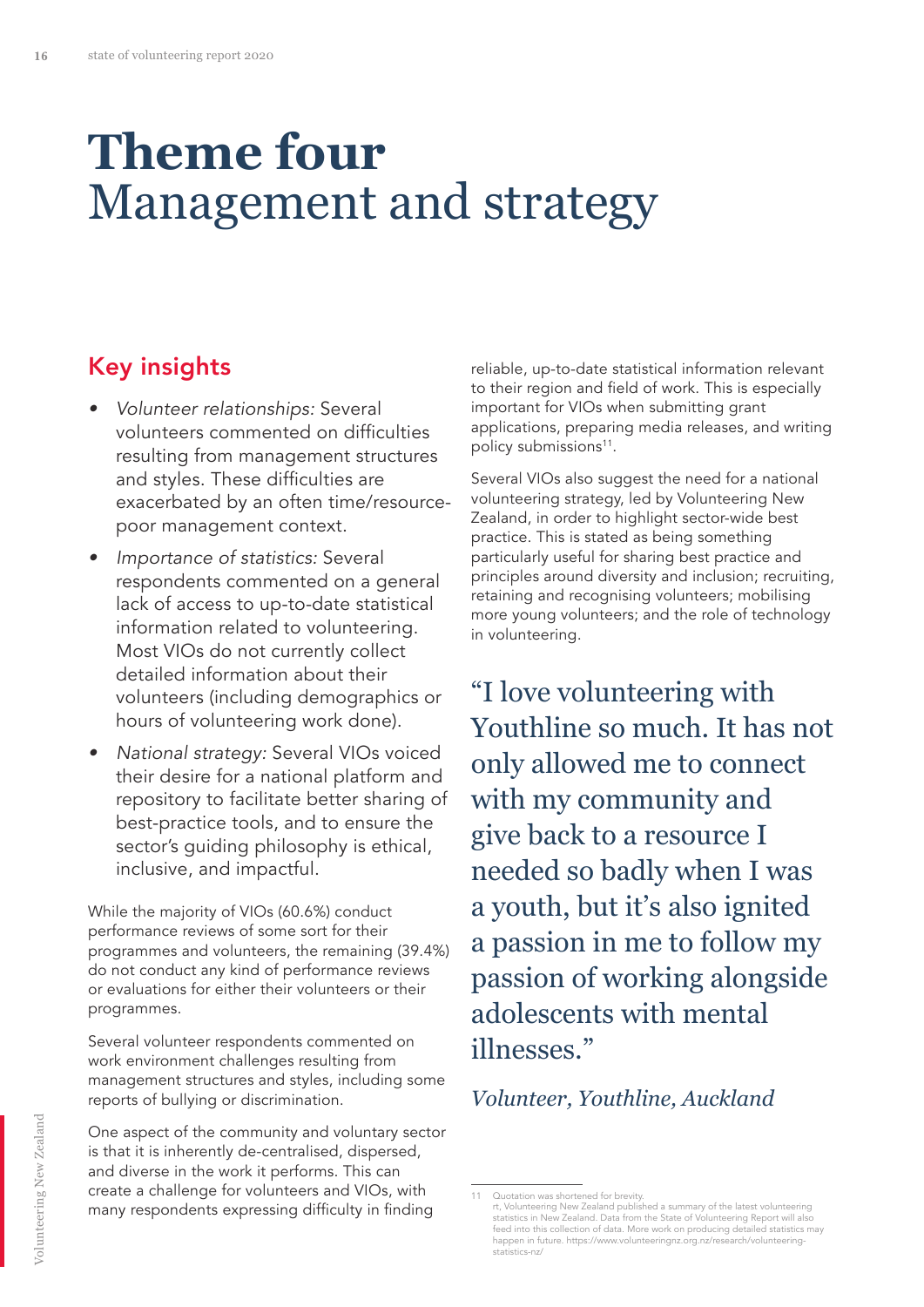### **Theme four** Management and strategy

#### Key insights

- Volunteer relationships: Several volunteers commented on difficulties resulting from management structures and styles. These difficulties are exacerbated by an often time/resourcepoor management context.
- Importance of statistics: Several respondents commented on a general lack of access to up-to-date statistical information related to volunteering. Most VIOs do not currently collect detailed information about their volunteers (including demographics or hours of volunteering work done).
- National strategy: Several VIOs voiced their desire for a national platform and repository to facilitate better sharing of best-practice tools, and to ensure the sector's guiding philosophy is ethical, inclusive, and impactful.

While the majority of VIOs (60.6%) conduct performance reviews of some sort for their programmes and volunteers, the remaining (39.4%) do not conduct any kind of performance reviews or evaluations for either their volunteers or their programmes.

Several volunteer respondents commented on work environment challenges resulting from management structures and styles, including some reports of bullying or discrimination.

One aspect of the community and voluntary sector is that it is inherently de-centralised, dispersed, and diverse in the work it performs. This can create a challenge for volunteers and VIOs, with many respondents expressing difficulty in finding

reliable, up-to-date statistical information relevant to their region and field of work. This is especially important for VIOs when submitting grant applications, preparing media releases, and writing policy submissions<sup>11</sup>.

Several VIOs also suggest the need for a national volunteering strategy, led by Volunteering New Zealand, in order to highlight sector-wide best practice. This is stated as being something particularly useful for sharing best practice and principles around diversity and inclusion; recruiting, retaining and recognising volunteers; mobilising more young volunteers; and the role of technology in volunteering.

"I love volunteering with Youthline so much. It has not only allowed me to connect with my community and give back to a resource I needed so badly when I was a youth, but it's also ignited a passion in me to follow my passion of working alongside adolescents with mental illnesses."

*Volunteer, Youthline, Auckland*

<sup>11</sup> Quotation was shortened for brevity. rt, Volunteering New Zealand published a summary of the latest volunteering<br>statistics in New Zealand. Data from the State of Volunteering Report will also<br>feed into this collection of data. More work on producing detailed happen in future. https://www.volunteeringnz.org.nz/research/volunteering-statistics-nz/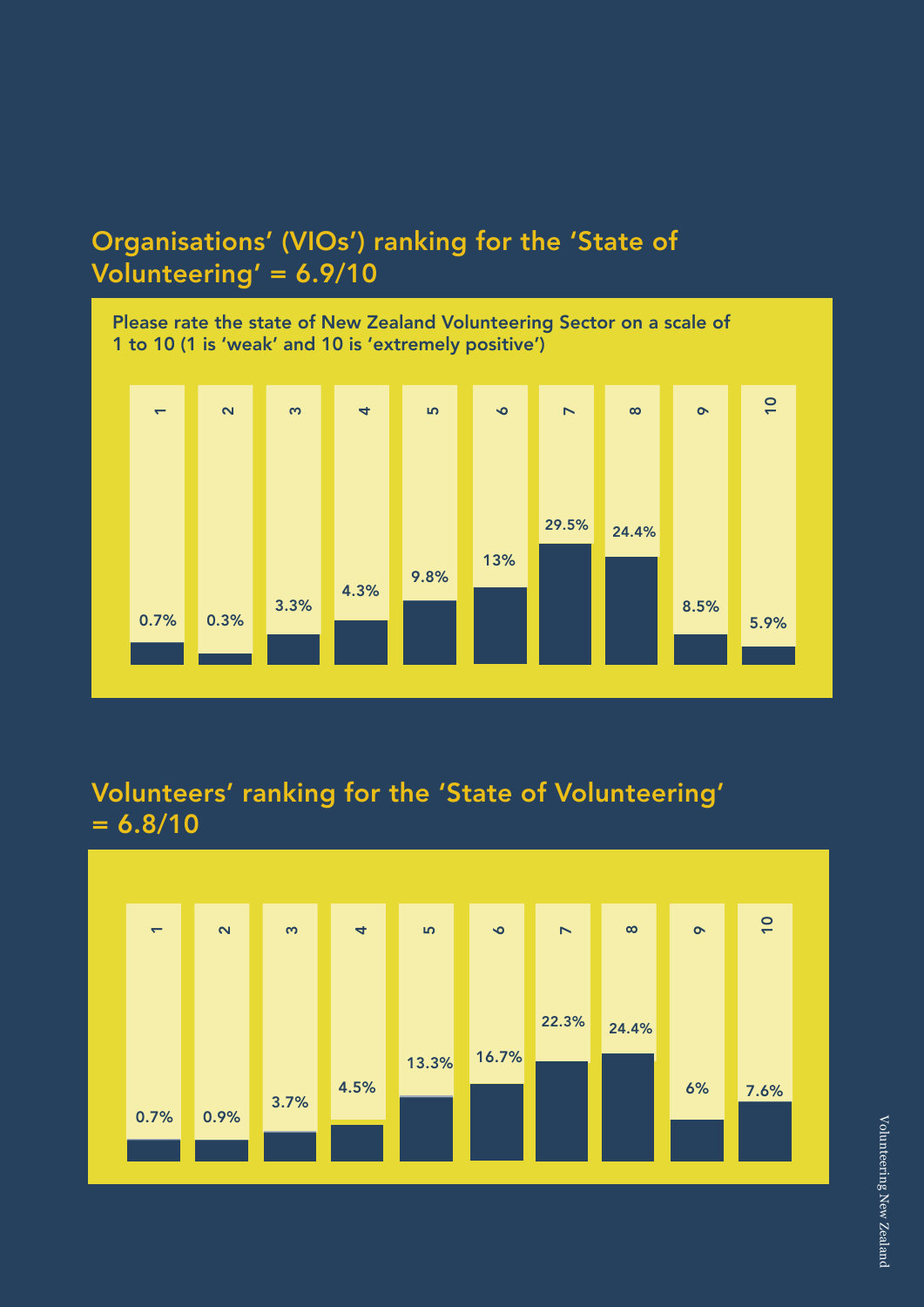### Organisations' (VIOs') ranking for the 'State of Volunteering' = 6.9/10



#### Volunteers' ranking for the 'State of Volunteering'  $= 6.8/10$

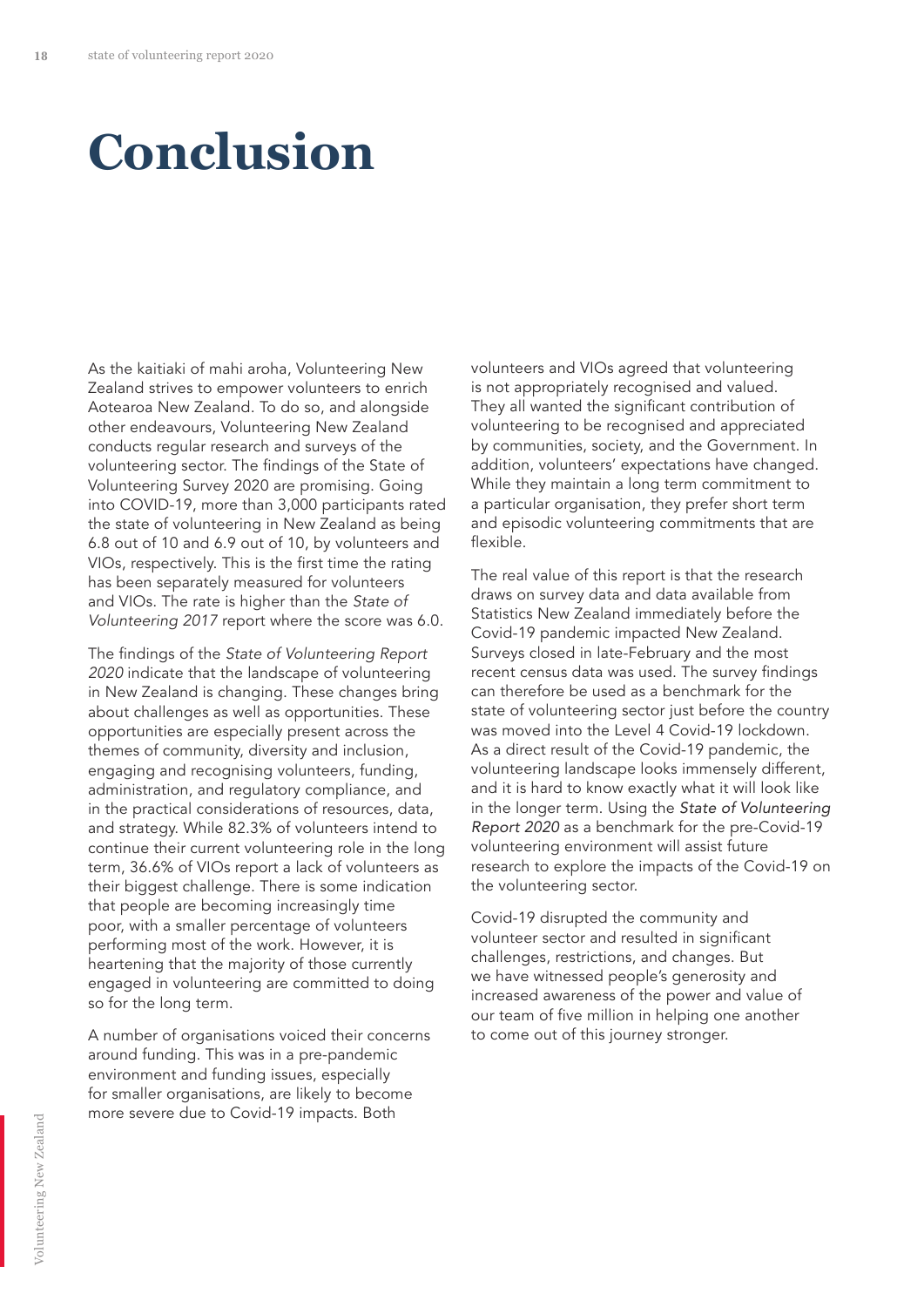### **Conclusion**

As the kaitiaki of mahi aroha, Volunteering New Zealand strives to empower volunteers to enrich Aotearoa New Zealand. To do so, and alongside other endeavours, Volunteering New Zealand conducts regular research and surveys of the volunteering sector. The findings of the State of Volunteering Survey 2020 are promising. Going into COVID-19, more than 3,000 participants rated the state of volunteering in New Zealand as being 6.8 out of 10 and 6.9 out of 10, by volunteers and VIOs, respectively. This is the first time the rating has been separately measured for volunteers and VIOs. The rate is higher than the *State of*  Volunteering 2017 report where the score was 6.0.

The findings of the State of Volunteering Report 2020 indicate that the landscape of volunteering in New Zealand is changing. These changes bring about challenges as well as opportunities. These opportunities are especially present across the themes of community, diversity and inclusion, engaging and recognising volunteers, funding, administration, and regulatory compliance, and in the practical considerations of resources, data, and strategy. While 82.3% of volunteers intend to continue their current volunteering role in the long term, 36.6% of VIOs report a lack of volunteers as their biggest challenge. There is some indication that people are becoming increasingly time poor, with a smaller percentage of volunteers performing most of the work. However, it is heartening that the majority of those currently engaged in volunteering are committed to doing so for the long term.

A number of organisations voiced their concerns around funding. This was in a pre-pandemic environment and funding issues, especially for smaller organisations, are likely to become more severe due to Covid-19 impacts. Both

volunteers and VIOs agreed that volunteering is not appropriately recognised and valued. They all wanted the significant contribution of volunteering to be recognised and appreciated by communities, society, and the Government. In addition, volunteers' expectations have changed. While they maintain a long term commitment to a particular organisation, they prefer short term and episodic volunteering commitments that are flexible.

The real value of this report is that the research draws on survey data and data available from Statistics New Zealand immediately before the Covid-19 pandemic impacted New Zealand. Surveys closed in late-February and the most recent census data was used. The survey findings can therefore be used as a benchmark for the state of volunteering sector just before the country was moved into the Level 4 Covid-19 lockdown. As a direct result of the Covid-19 pandemic, the volunteering landscape looks immensely different, and it is hard to know exactly what it will look like in the longer term. Using the State of Volunteering Report 2020 as a benchmark for the pre-Covid-19 volunteering environment will assist future research to explore the impacts of the Covid-19 on the volunteering sector.

Covid-19 disrupted the community and volunteer sector and resulted in significant challenges, restrictions, and changes. But we have witnessed people's generosity and increased awareness of the power and value of our team of five million in helping one another to come out of this journey stronger.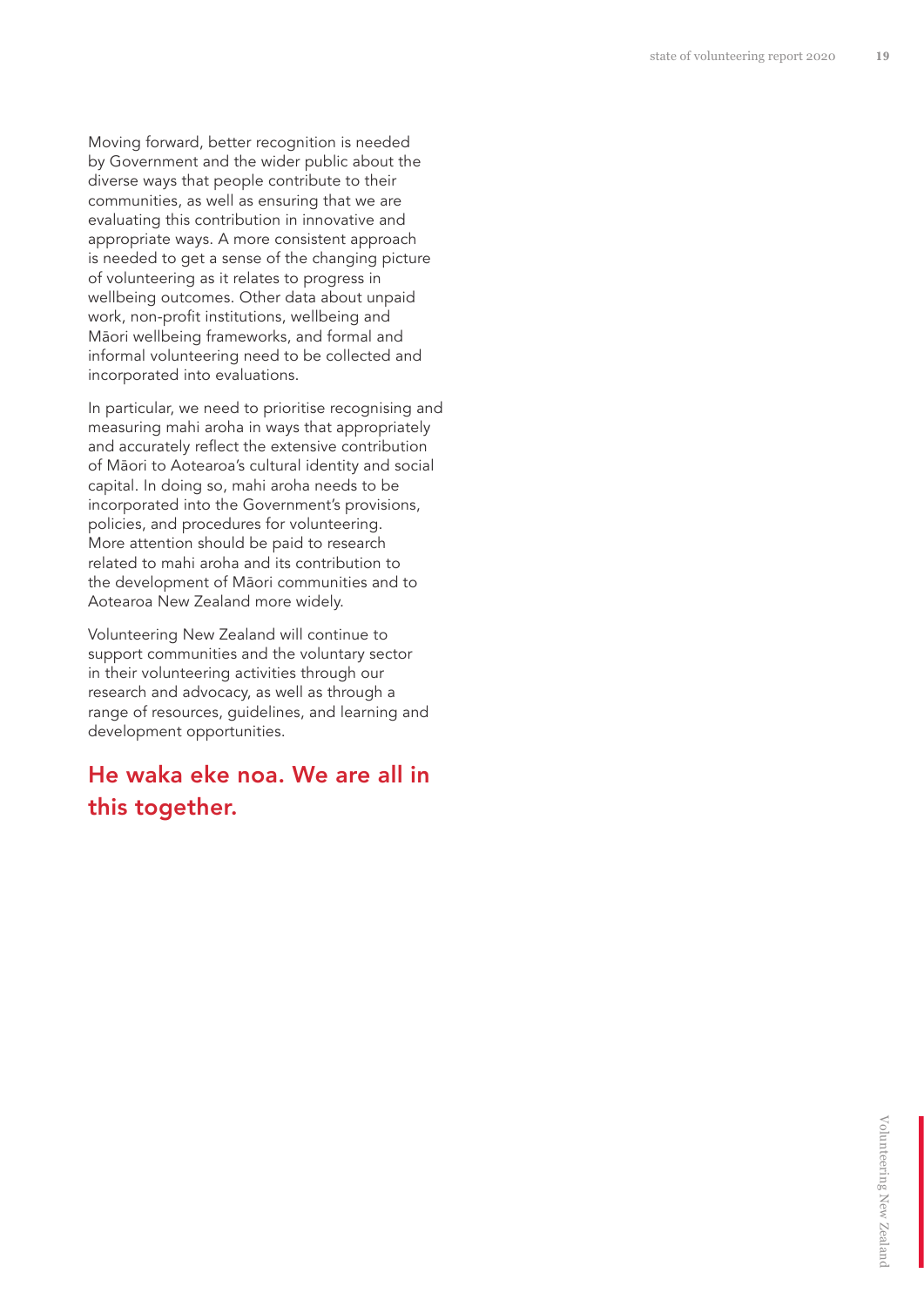Moving forward, better recognition is needed by Government and the wider public about the diverse ways that people contribute to their communities, as well as ensuring that we are evaluating this contribution in innovative and appropriate ways. A more consistent approach is needed to get a sense of the changing picture of volunteering as it relates to progress in wellbeing outcomes. Other data about unpaid work, non-profit institutions, wellbeing and Māori wellbeing frameworks, and formal and informal volunteering need to be collected and incorporated into evaluations.

In particular, we need to prioritise recognising and measuring mahi aroha in ways that appropriately and accurately reflect the extensive contribution of Māori to Aotearoa's cultural identity and social capital. In doing so, mahi aroha needs to be incorporated into the Government's provisions, policies, and procedures for volunteering. More attention should be paid to research related to mahi aroha and its contribution to the development of Māori communities and to Aotearoa New Zealand more widely.

Volunteering New Zealand will continue to support communities and the voluntary sector in their volunteering activities through our research and advocacy, as well as through a range of resources, guidelines, and learning and development opportunities.

#### He waka eke noa. We are all in this together.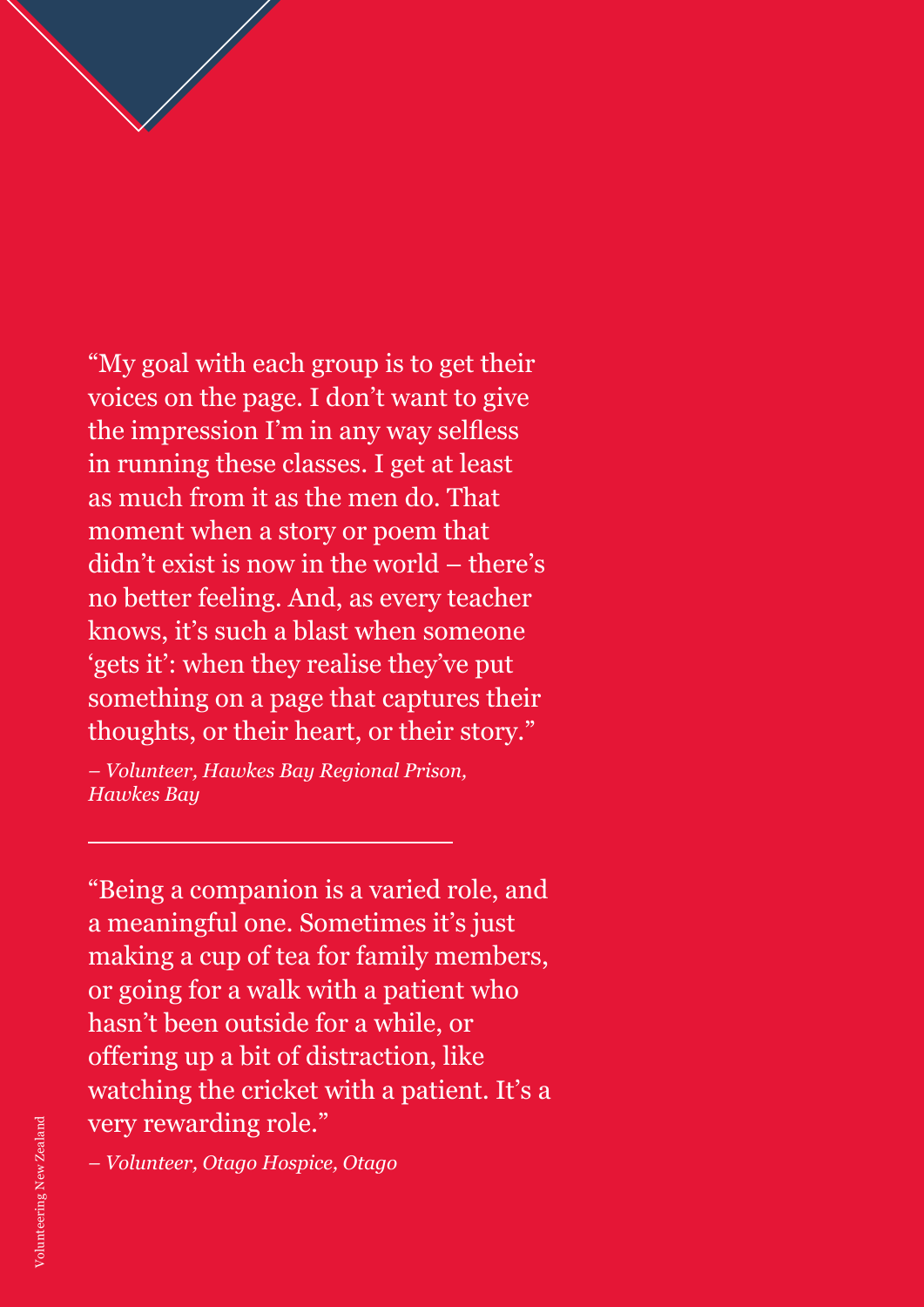"My goal with each group is to get their voices on the page. I don't want to give the impression I'm in any way selfless in running these classes. I get at least as much from it as the men do. That moment when a story or poem that didn't exist is now in the world – there's no better feeling. And, as every teacher knows, it's such a blast when someone 'gets it': when they realise they've put something on a page that captures their thoughts, or their heart, or their story."

**20** state of volunteering report 2020

*– Volunteer, Hawkes Bay Regional Prison, Hawkes Bay*

"Being a companion is a varied role, and a meaningful one. Sometimes it's just making a cup of tea for family members, or going for a walk with a patient who hasn't been outside for a while, or offering up a bit of distraction, like watching the cricket with a patient. It's a very rewarding role."

*– Volunteer, Otago Hospice, Otago*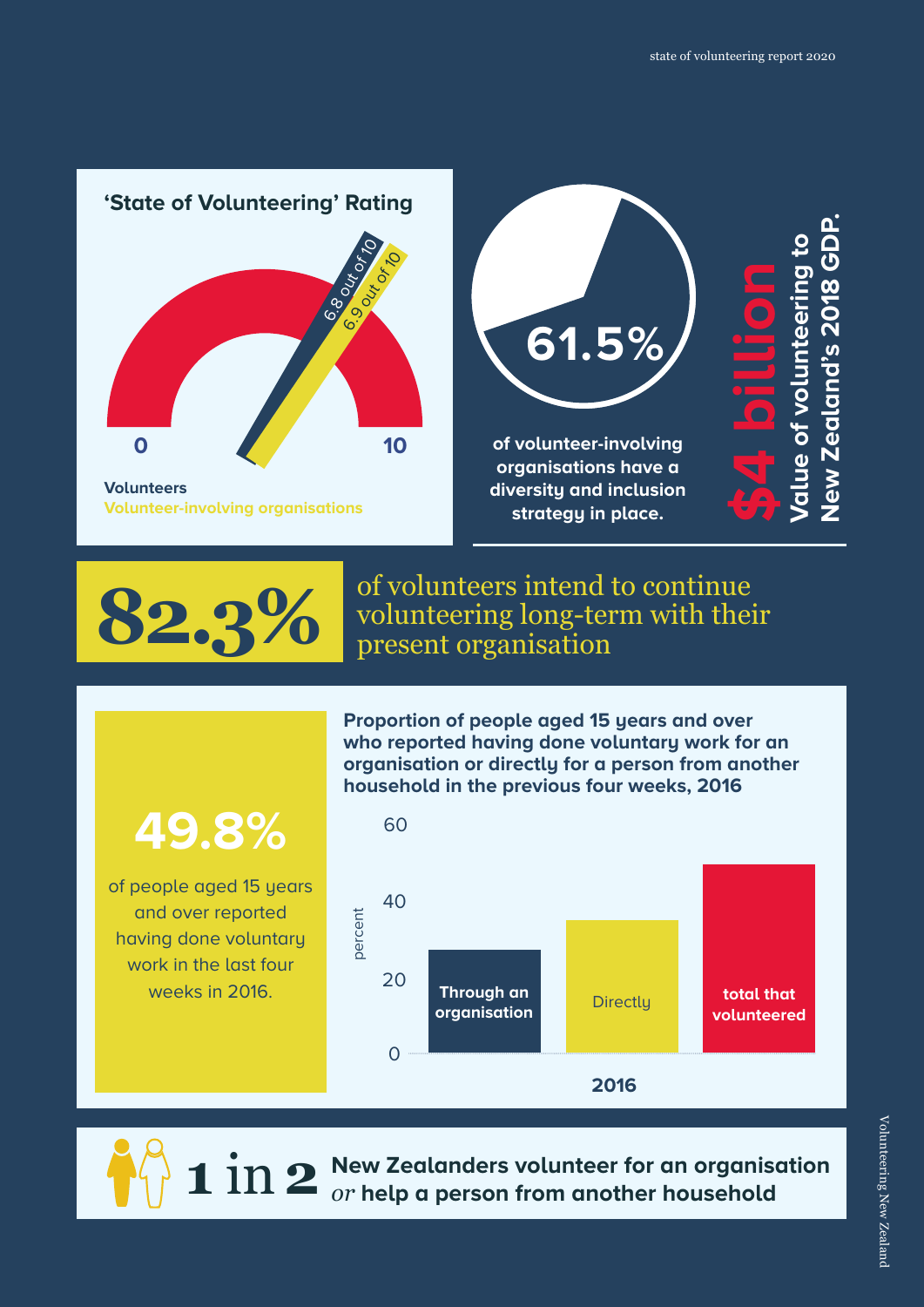

of volunteers intend to continue 82.3% volunteering long-term with their

> **Proportion of people aged 15 years and over**  who reported having done voluntary work for an **organisation or directly for a person from another**

### **49.8%**

of people aged 15 years and over reported having done voluntary work in the last four weeks in 2016.





**New Zealanders volunteer for an organisation** *or* **help a person from another household**